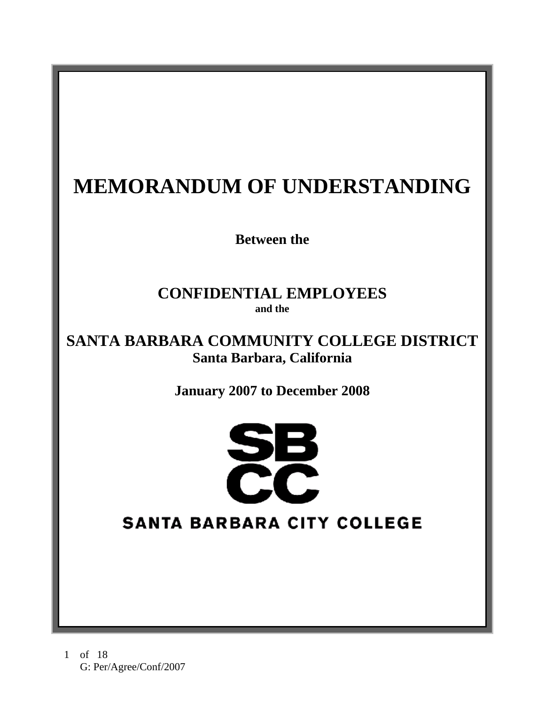# **MEMORANDUM OF UNDERSTANDING**

**Between the** 

# **CONFIDENTIAL EMPLOYEES and the**

# **SANTA BARBARA COMMUNITY COLLEGE DISTRICT Santa Barbara, California**

**January 2007 to December 2008** 



# **SANTA BARBARA CITY COLLEGE**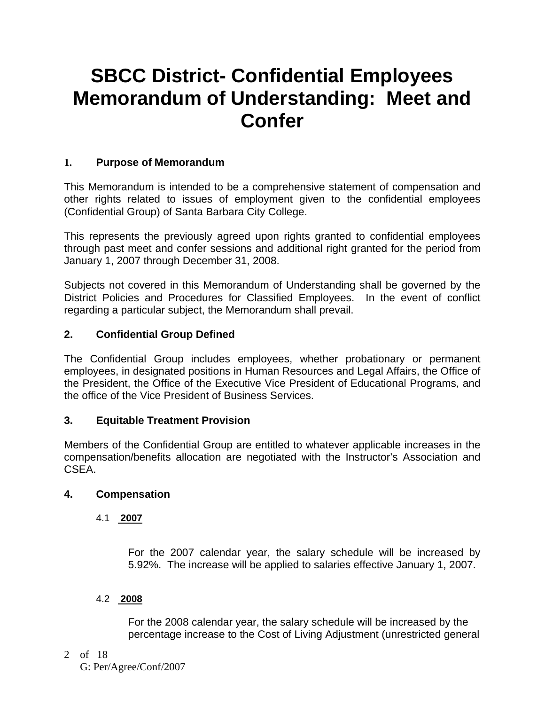# **SBCC District- Confidential Employees Memorandum of Understanding: Meet and Confer**

#### **1. Purpose of Memorandum**

This Memorandum is intended to be a comprehensive statement of compensation and other rights related to issues of employment given to the confidential employees (Confidential Group) of Santa Barbara City College.

This represents the previously agreed upon rights granted to confidential employees through past meet and confer sessions and additional right granted for the period from January 1, 2007 through December 31, 2008.

Subjects not covered in this Memorandum of Understanding shall be governed by the District Policies and Procedures for Classified Employees. In the event of conflict regarding a particular subject, the Memorandum shall prevail.

#### **2. Confidential Group Defined**

The Confidential Group includes employees, whether probationary or permanent employees, in designated positions in Human Resources and Legal Affairs, the Office of the President, the Office of the Executive Vice President of Educational Programs, and the office of the Vice President of Business Services.

#### **3. Equitable Treatment Provision**

Members of the Confidential Group are entitled to whatever applicable increases in the compensation/benefits allocation are negotiated with the Instructor's Association and CSEA.

#### **4. Compensation**

#### 4.1 **2007**

For the 2007 calendar year, the salary schedule will be increased by 5.92%. The increase will be applied to salaries effective January 1, 2007.

#### 4.2 **2008**

For the 2008 calendar year, the salary schedule will be increased by the percentage increase to the Cost of Living Adjustment (unrestricted general

2 of 18 G: Per/Agree/Conf/2007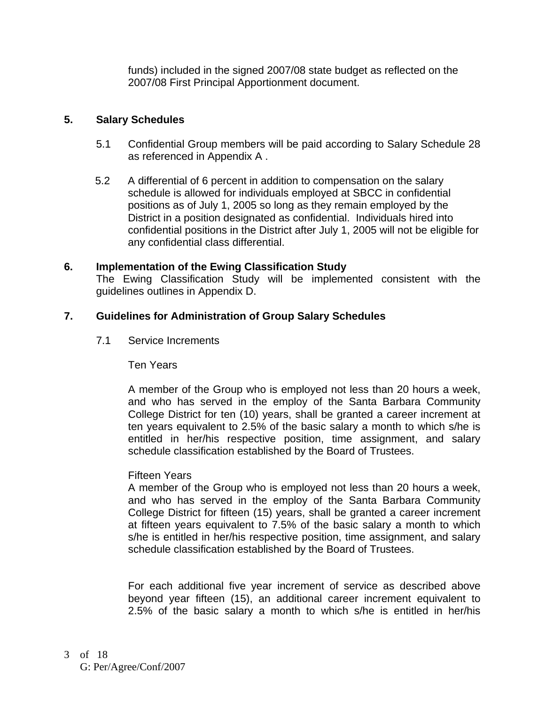funds) included in the signed 2007/08 state budget as reflected on the 2007/08 First Principal Apportionment document.

#### **5. Salary Schedules**

- 5.1 Confidential Group members will be paid according to Salary Schedule 28 as referenced in Appendix A .
- 5.2 A differential of 6 percent in addition to compensation on the salary schedule is allowed for individuals employed at SBCC in confidential positions as of July 1, 2005 so long as they remain employed by the District in a position designated as confidential. Individuals hired into confidential positions in the District after July 1, 2005 will not be eligible for any confidential class differential.

#### **6. Implementation of the Ewing Classification Study**

The Ewing Classification Study will be implemented consistent with the guidelines outlines in Appendix D.

#### **7. Guidelines for Administration of Group Salary Schedules**

7.1 Service Increments

Ten Years

A member of the Group who is employed not less than 20 hours a week, and who has served in the employ of the Santa Barbara Community College District for ten (10) years, shall be granted a career increment at ten years equivalent to 2.5% of the basic salary a month to which s/he is entitled in her/his respective position, time assignment, and salary schedule classification established by the Board of Trustees.

#### Fifteen Years

A member of the Group who is employed not less than 20 hours a week, and who has served in the employ of the Santa Barbara Community College District for fifteen (15) years, shall be granted a career increment at fifteen years equivalent to 7.5% of the basic salary a month to which s/he is entitled in her/his respective position, time assignment, and salary schedule classification established by the Board of Trustees.

For each additional five year increment of service as described above beyond year fifteen (15), an additional career increment equivalent to 2.5% of the basic salary a month to which s/he is entitled in her/his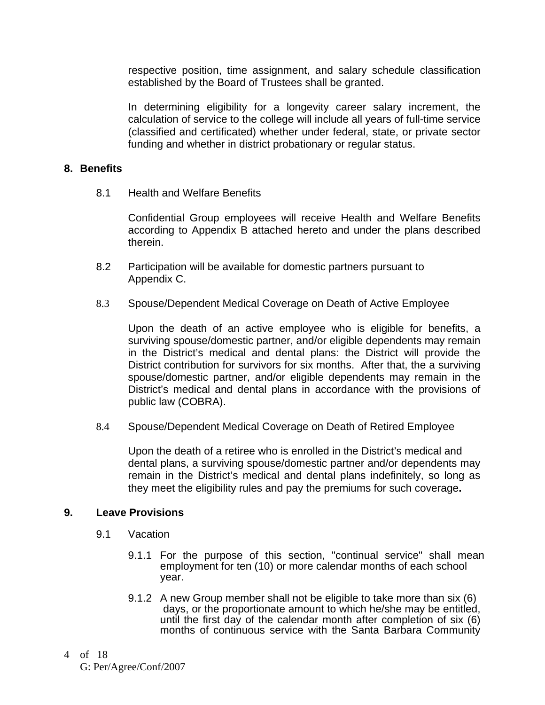respective position, time assignment, and salary schedule classification established by the Board of Trustees shall be granted.

In determining eligibility for a longevity career salary increment, the calculation of service to the college will include all years of full-time service (classified and certificated) whether under federal, state, or private sector funding and whether in district probationary or regular status.

#### **8. Benefits**

8.1 Health and Welfare Benefits

Confidential Group employees will receive Health and Welfare Benefits according to Appendix B attached hereto and under the plans described therein.

- 8.2 Participation will be available for domestic partners pursuant to Appendix C.
- 8.3 Spouse/Dependent Medical Coverage on Death of Active Employee

Upon the death of an active employee who is eligible for benefits, a surviving spouse/domestic partner, and/or eligible dependents may remain in the District's medical and dental plans: the District will provide the District contribution for survivors for six months. After that, the a surviving spouse/domestic partner, and/or eligible dependents may remain in the District's medical and dental plans in accordance with the provisions of public law (COBRA).

8.4 Spouse/Dependent Medical Coverage on Death of Retired Employee

Upon the death of a retiree who is enrolled in the District's medical and dental plans, a surviving spouse/domestic partner and/or dependents may remain in the District's medical and dental plans indefinitely, so long as they meet the eligibility rules and pay the premiums for such coverage**.**

#### **9. Leave Provisions**

- 9.1 Vacation
	- 9.1.1 For the purpose of this section, "continual service" shall mean employment for ten (10) or more calendar months of each school year.
	- 9.1.2 A new Group member shall not be eligible to take more than six (6) days, or the proportionate amount to which he/she may be entitled, until the first day of the calendar month after completion of six (6) months of continuous service with the Santa Barbara Community
- of 18 4 G: Per/Agree/Conf/2007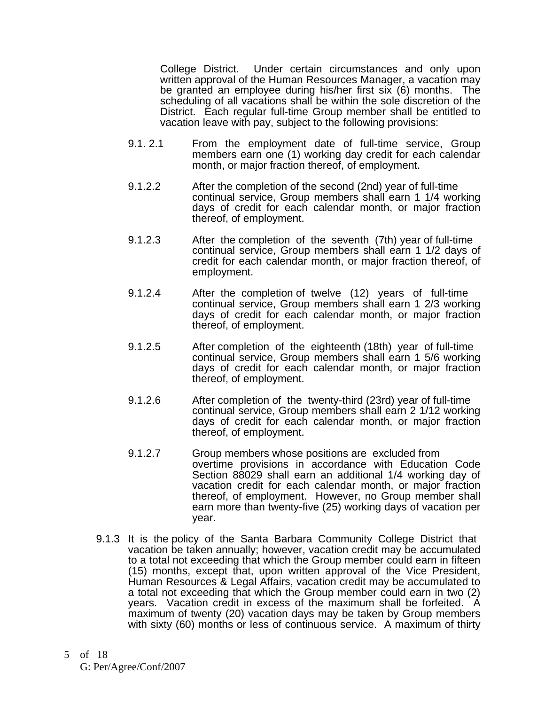College District. Under certain circumstances and only upon written approval of the Human Resources Manager, a vacation may be granted an employee during his/her first six (6) months. The scheduling of all vacations shall be within the sole discretion of the District. Each regular full-time Group member shall be entitled to vacation leave with pay, subject to the following provisions:

- 9.1. 2.1 From the employment date of full-time service, Group members earn one (1) working day credit for each calendar month, or major fraction thereof, of employment.
- 9.1.2.2 After the completion of the second (2nd) year of full-time continual service, Group members shall earn 1 1/4 working days of credit for each calendar month, or major fraction thereof, of employment.
- 9.1.2.3 After the completion of the seventh (7th) year of full-time continual service, Group members shall earn 1 1/2 days of credit for each calendar month, or major fraction thereof, of employment.
- 9.1.2.4 After the completion of twelve (12) years of full-time continual service, Group members shall earn 1 2/3 working days of credit for each calendar month, or major fraction thereof, of employment.
- 9.1.2.5 After completion of the eighteenth (18th) year of full-time continual service, Group members shall earn 1 5/6 working days of credit for each calendar month, or major fraction thereof, of employment.
- 9.1.2.6 After completion of the twenty-third (23rd) year of full-time continual service, Group members shall earn 2 1/12 working days of credit for each calendar month, or major fraction thereof, of employment.
- 9.1.2.7 Group members whose positions are excluded from overtime provisions in accordance with Education Code Section 88029 shall earn an additional 1/4 working day of vacation credit for each calendar month, or major fraction thereof, of employment. However, no Group member shall earn more than twenty-five (25) working days of vacation per year.
- 9.1.3 It is the policy of the Santa Barbara Community College District that vacation be taken annually; however, vacation credit may be accumulated to a total not exceeding that which the Group member could earn in fifteen (15) months, except that, upon written approval of the Vice President, Human Resources & Legal Affairs, vacation credit may be accumulated to a total not exceeding that which the Group member could earn in two (2) years. Vacation credit in excess of the maximum shall be forfeited. A maximum of twenty (20) vacation days may be taken by Group members with sixty (60) months or less of continuous service. A maximum of thirty
- of 18 5 G: Per/Agree/Conf/2007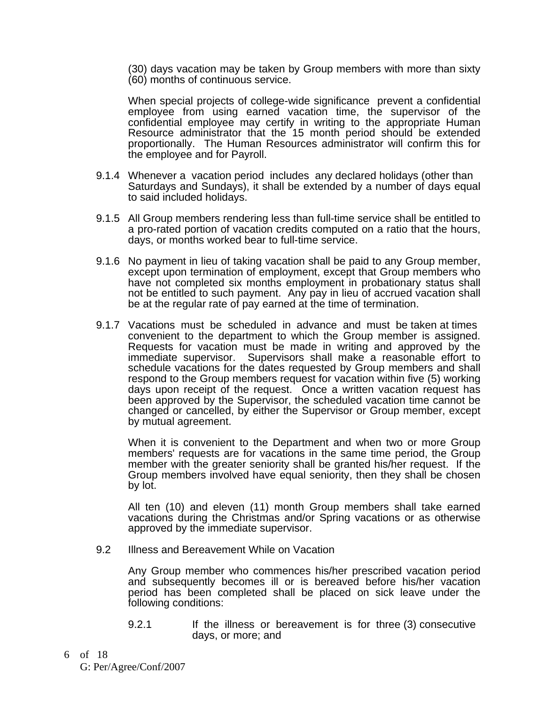(30) days vacation may be taken by Group members with more than sixty (60) months of continuous service.

When special projects of college-wide significance prevent a confidential employee from using earned vacation time, the supervisor of the confidential employee may certify in writing to the appropriate Human Resource administrator that the 15 month period should be extended proportionally. The Human Resources administrator will confirm this for the employee and for Payroll.

- 9.1.4 Whenever a vacation period includes any declared holidays (other than Saturdays and Sundays), it shall be extended by a number of days equal to said included holidays.
- 9.1.5 All Group members rendering less than full-time service shall be entitled to a pro-rated portion of vacation credits computed on a ratio that the hours, days, or months worked bear to full-time service.
- 9.1.6 No payment in lieu of taking vacation shall be paid to any Group member, except upon termination of employment, except that Group members who have not completed six months employment in probationary status shall not be entitled to such payment. Any pay in lieu of accrued vacation shall be at the regular rate of pay earned at the time of termination.
- 9.1.7 Vacations must be scheduled in advance and must be taken at times convenient to the department to which the Group member is assigned. Requests for vacation must be made in writing and approved by the immediate supervisor. Supervisors shall make a reasonable effort to schedule vacations for the dates requested by Group members and shall respond to the Group members request for vacation within five (5) working days upon receipt of the request. Once a written vacation request has been approved by the Supervisor, the scheduled vacation time cannot be changed or cancelled, by either the Supervisor or Group member, except by mutual agreement.

When it is convenient to the Department and when two or more Group members' requests are for vacations in the same time period, the Group member with the greater seniority shall be granted his/her request. If the Group members involved have equal seniority, then they shall be chosen by lot.

All ten (10) and eleven (11) month Group members shall take earned vacations during the Christmas and/or Spring vacations or as otherwise approved by the immediate supervisor.

9.2 Illness and Bereavement While on Vacation

Any Group member who commences his/her prescribed vacation period and subsequently becomes ill or is bereaved before his/her vacation period has been completed shall be placed on sick leave under the following conditions:

- 9.2.1 If the illness or bereavement is for three (3) consecutive days, or more; and
- of 18 6 G: Per/Agree/Conf/2007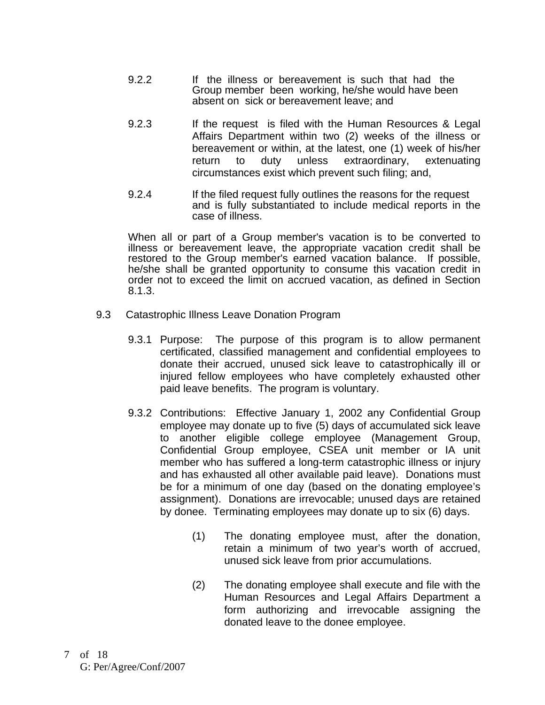- 9.2.2 If the illness or bereavement is such that had the Group member been working, he/she would have been absent on sick or bereavement leave; and
- 9.2.3 If the request is filed with the Human Resources & Legal Affairs Department within two (2) weeks of the illness or bereavement or within, at the latest, one (1) week of his/her return to duty unless extraordinary, extenuating circumstances exist which prevent such filing; and,
- 9.2.4 If the filed request fully outlines the reasons for the request and is fully substantiated to include medical reports in the case of illness.

When all or part of a Group member's vacation is to be converted to illness or bereavement leave, the appropriate vacation credit shall be restored to the Group member's earned vacation balance. If possible, he/she shall be granted opportunity to consume this vacation credit in order not to exceed the limit on accrued vacation, as defined in Section 8.1.3.

- 9.3 Catastrophic Illness Leave Donation Program
	- 9.3.1 Purpose: The purpose of this program is to allow permanent certificated, classified management and confidential employees to donate their accrued, unused sick leave to catastrophically ill or injured fellow employees who have completely exhausted other paid leave benefits. The program is voluntary.
	- 9.3.2 Contributions: Effective January 1, 2002 any Confidential Group employee may donate up to five (5) days of accumulated sick leave to another eligible college employee (Management Group, Confidential Group employee, CSEA unit member or IA unit member who has suffered a long-term catastrophic illness or injury and has exhausted all other available paid leave). Donations must be for a minimum of one day (based on the donating employee's assignment). Donations are irrevocable; unused days are retained by donee. Terminating employees may donate up to six (6) days.
		- (1) The donating employee must, after the donation, retain a minimum of two year's worth of accrued, unused sick leave from prior accumulations.
		- (2) The donating employee shall execute and file with the Human Resources and Legal Affairs Department a form authorizing and irrevocable assigning the donated leave to the donee employee.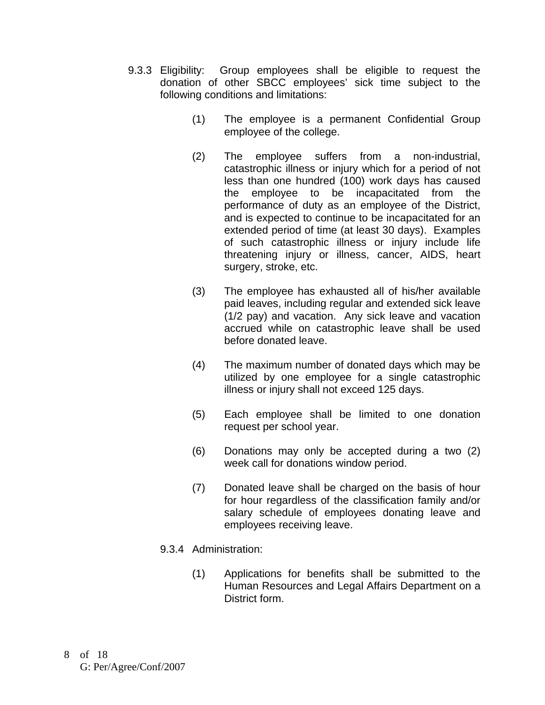- 9.3.3 Eligibility: Group employees shall be eligible to request the donation of other SBCC employees' sick time subject to the following conditions and limitations:
	- (1) The employee is a permanent Confidential Group employee of the college.
	- (2) The employee suffers from a non-industrial, catastrophic illness or injury which for a period of not less than one hundred (100) work days has caused the employee to be incapacitated from the performance of duty as an employee of the District, and is expected to continue to be incapacitated for an extended period of time (at least 30 days). Examples of such catastrophic illness or injury include life threatening injury or illness, cancer, AIDS, heart surgery, stroke, etc.
	- (3) The employee has exhausted all of his/her available paid leaves, including regular and extended sick leave (1/2 pay) and vacation. Any sick leave and vacation accrued while on catastrophic leave shall be used before donated leave.
	- (4) The maximum number of donated days which may be utilized by one employee for a single catastrophic illness or injury shall not exceed 125 days.
	- (5) Each employee shall be limited to one donation request per school year.
	- (6) Donations may only be accepted during a two (2) week call for donations window period.
	- (7) Donated leave shall be charged on the basis of hour for hour regardless of the classification family and/or salary schedule of employees donating leave and employees receiving leave.
	- 9.3.4 Administration:
		- (1) Applications for benefits shall be submitted to the Human Resources and Legal Affairs Department on a District form.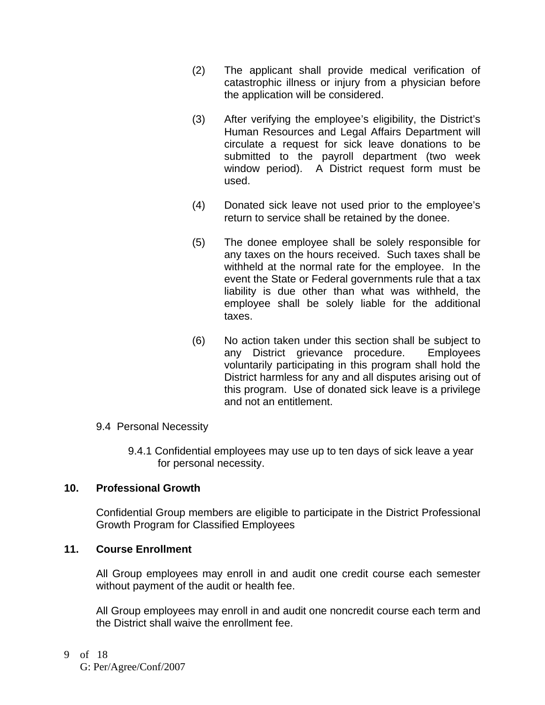- (2) The applicant shall provide medical verification of catastrophic illness or injury from a physician before the application will be considered.
- (3) After verifying the employee's eligibility, the District's Human Resources and Legal Affairs Department will circulate a request for sick leave donations to be submitted to the payroll department (two week window period). A District request form must be used.
- (4) Donated sick leave not used prior to the employee's return to service shall be retained by the donee.
- (5) The donee employee shall be solely responsible for any taxes on the hours received. Such taxes shall be withheld at the normal rate for the employee. In the event the State or Federal governments rule that a tax liability is due other than what was withheld, the employee shall be solely liable for the additional taxes.
- (6) No action taken under this section shall be subject to any District grievance procedure. Employees voluntarily participating in this program shall hold the District harmless for any and all disputes arising out of this program. Use of donated sick leave is a privilege and not an entitlement.

# 9.4 Personal Necessity

9.4.1 Confidential employees may use up to ten days of sick leave a year for personal necessity.

# **10. Professional Growth**

Confidential Group members are eligible to participate in the District Professional Growth Program for Classified Employees

#### **11. Course Enrollment**

All Group employees may enroll in and audit one credit course each semester without payment of the audit or health fee.

All Group employees may enroll in and audit one noncredit course each term and the District shall waive the enrollment fee.

of 18 9 G: Per/Agree/Conf/2007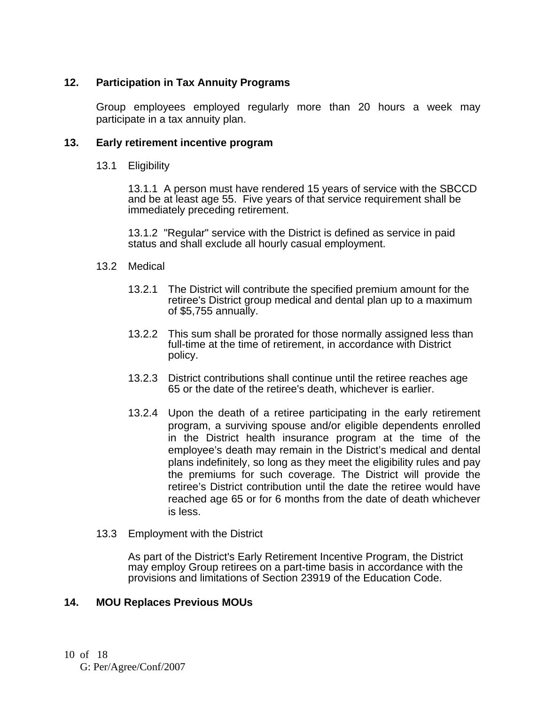# **12. Participation in Tax Annuity Programs**

Group employees employed regularly more than 20 hours a week may participate in a tax annuity plan.

#### **13. Early retirement incentive program**

13.1 Eligibility

 13.1.1 A person must have rendered 15 years of service with the SBCCD and be at least age 55. Five years of that service requirement shall be immediately preceding retirement.

 13.1.2 "Regular" service with the District is defined as service in paid status and shall exclude all hourly casual employment.

#### 13.2 Medical

- 13.2.1 The District will contribute the specified premium amount for the retiree's District group medical and dental plan up to a maximum of \$5,755 annually.
- 13.2.2 This sum shall be prorated for those normally assigned less than full-time at the time of retirement, in accordance with District policy.
- 13.2.3 District contributions shall continue until the retiree reaches age 65 or the date of the retiree's death, whichever is earlier.
- 13.2.4 Upon the death of a retiree participating in the early retirement program, a surviving spouse and/or eligible dependents enrolled in the District health insurance program at the time of the employee's death may remain in the District's medical and dental plans indefinitely, so long as they meet the eligibility rules and pay the premiums for such coverage. The District will provide the retiree's District contribution until the date the retiree would have reached age 65 or for 6 months from the date of death whichever is less.
- 13.3 Employment with the District

As part of the District's Early Retirement Incentive Program, the District may employ Group retirees on a part-time basis in accordance with the provisions and limitations of Section 23919 of the Education Code.

#### **14. MOU Replaces Previous MOUs**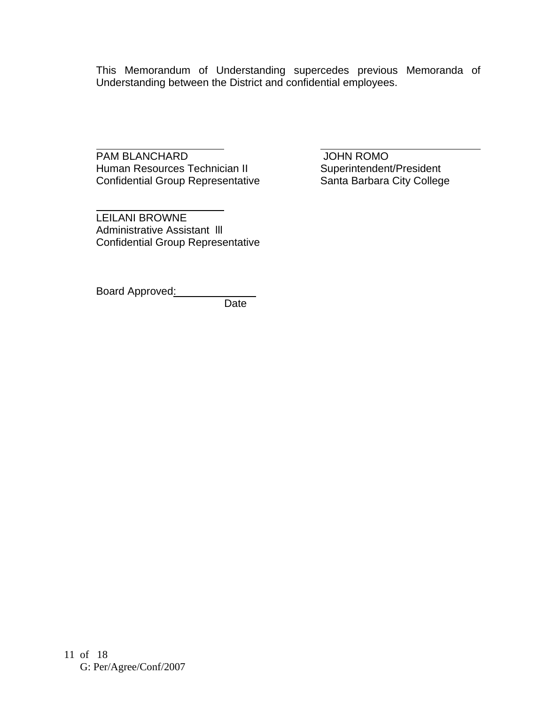This Memorandum of Understanding supercedes previous Memoranda of Understanding between the District and confidential employees.

 $\overline{a}$ PAM BLANCHARD<br>
Human Resources Technician II Superintendent/President Human Resources Technician II Superintendent/President<br>
Confidential Group Representative Santa Barbara City College Confidential Group Representative

LEILANI BROWNE Administrative Assistant lll Confidential Group Representative

Board Approved:

 $\overline{a}$ 

Date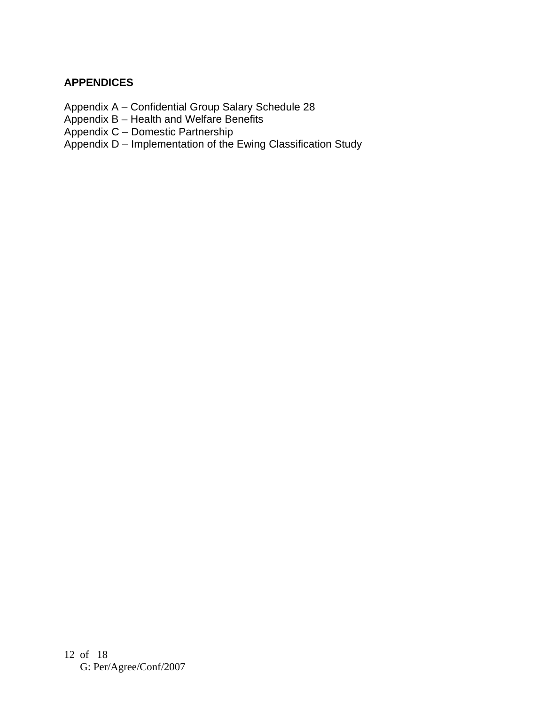# **APPENDICES**

- Appendix A Confidential Group Salary Schedule 28
- Appendix B Health and Welfare Benefits
- Appendix C Domestic Partnership
- Appendix D Implementation of the Ewing Classification Study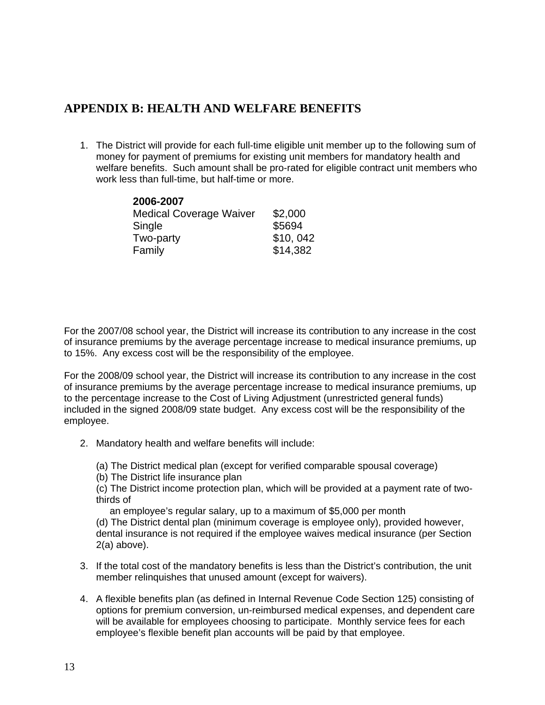# **APPENDIX B: HEALTH AND WELFARE BENEFITS**

1. The District will provide for each full-time eligible unit member up to the following sum of money for payment of premiums for existing unit members for mandatory health and welfare benefits. Such amount shall be pro-rated for eligible contract unit members who work less than full-time, but half-time or more.

| 2006-2007                      |          |
|--------------------------------|----------|
| <b>Medical Coverage Waiver</b> | \$2,000  |
| Single                         | \$5694   |
| Two-party                      | \$10,042 |
| Family                         | \$14,382 |

For the 2007/08 school year, the District will increase its contribution to any increase in the cost of insurance premiums by the average percentage increase to medical insurance premiums, up to 15%. Any excess cost will be the responsibility of the employee.

For the 2008/09 school year, the District will increase its contribution to any increase in the cost of insurance premiums by the average percentage increase to medical insurance premiums, up to the percentage increase to the Cost of Living Adjustment (unrestricted general funds) included in the signed 2008/09 state budget. Any excess cost will be the responsibility of the employee.

- 2. Mandatory health and welfare benefits will include:
	- (a) The District medical plan (except for verified comparable spousal coverage)
	- (b) The District life insurance plan

(c) The District income protection plan, which will be provided at a payment rate of twothirds of

an employee's regular salary, up to a maximum of \$5,000 per month

(d) The District dental plan (minimum coverage is employee only), provided however, dental insurance is not required if the employee waives medical insurance (per Section 2(a) above).

- 3. If the total cost of the mandatory benefits is less than the District's contribution, the unit member relinquishes that unused amount (except for waivers).
- 4. A flexible benefits plan (as defined in Internal Revenue Code Section 125) consisting of options for premium conversion, un-reimbursed medical expenses, and dependent care will be available for employees choosing to participate. Monthly service fees for each employee's flexible benefit plan accounts will be paid by that employee.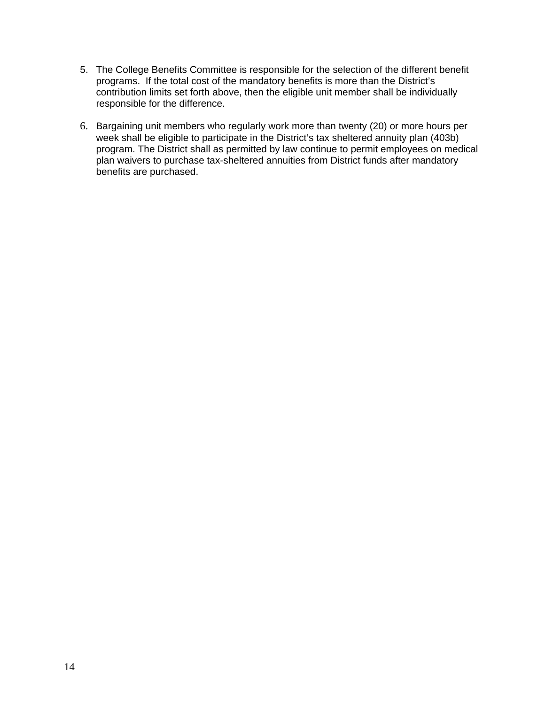- 5. The College Benefits Committee is responsible for the selection of the different benefit programs. If the total cost of the mandatory benefits is more than the District's contribution limits set forth above, then the eligible unit member shall be individually responsible for the difference.
- 6. Bargaining unit members who regularly work more than twenty (20) or more hours per week shall be eligible to participate in the District's tax sheltered annuity plan (403b) program. The District shall as permitted by law continue to permit employees on medical plan waivers to purchase tax-sheltered annuities from District funds after mandatory benefits are purchased.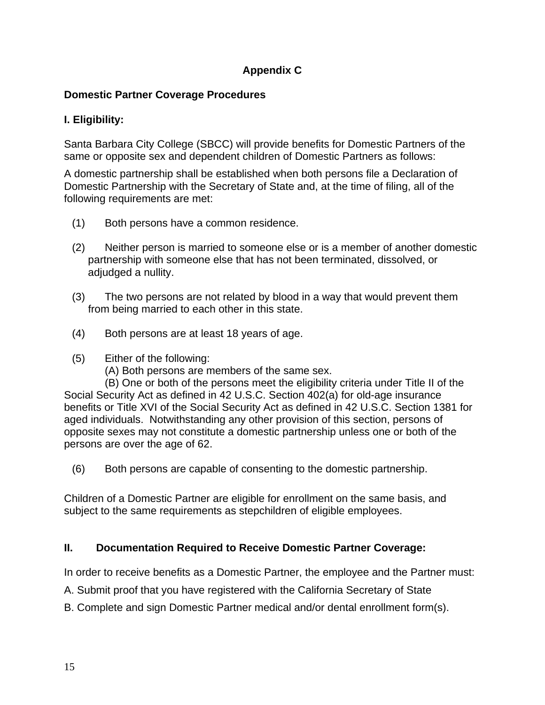# **Appendix C**

# **Domestic Partner Coverage Procedures**

# **I. Eligibility:**

Santa Barbara City College (SBCC) will provide benefits for Domestic Partners of the same or opposite sex and dependent children of Domestic Partners as follows:

A domestic partnership shall be established when both persons file a Declaration of Domestic Partnership with the Secretary of State and, at the time of filing, all of the following requirements are met:

- (1) Both persons have a common residence.
- (2) Neither person is married to someone else or is a member of another domestic partnership with someone else that has not been terminated, dissolved, or adjudged a nullity.
- (3) The two persons are not related by blood in a way that would prevent them from being married to each other in this state.
- (4) Both persons are at least 18 years of age.
- (5) Either of the following:
	- (A) Both persons are members of the same sex.

 (B) One or both of the persons meet the eligibility criteria under Title II of the Social Security Act as defined in 42 U.S.C. Section 402(a) for old-age insurance benefits or Title XVI of the Social Security Act as defined in 42 U.S.C. Section 1381 for aged individuals. Notwithstanding any other provision of this section, persons of opposite sexes may not constitute a domestic partnership unless one or both of the persons are over the age of 62.

(6) Both persons are capable of consenting to the domestic partnership.

Children of a Domestic Partner are eligible for enrollment on the same basis, and subject to the same requirements as stepchildren of eligible employees.

# **II. Documentation Required to Receive Domestic Partner Coverage:**

In order to receive benefits as a Domestic Partner, the employee and the Partner must:

- A. Submit proof that you have registered with the California Secretary of State
- B. Complete and sign Domestic Partner medical and/or dental enrollment form(s).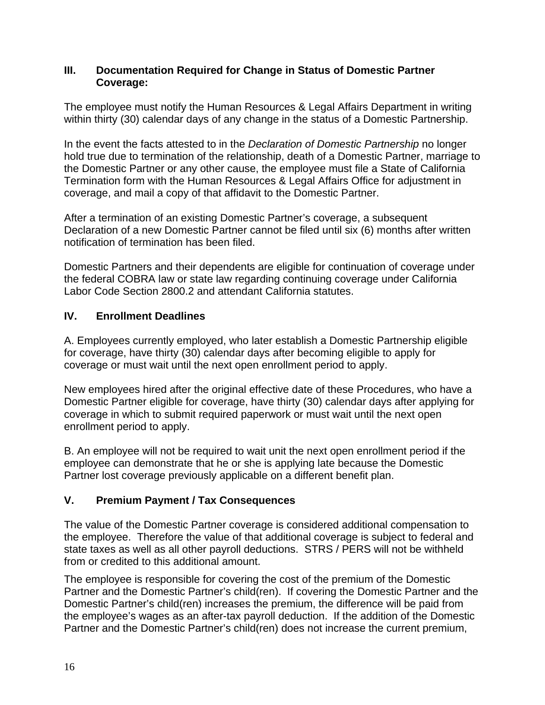#### **III. Documentation Required for Change in Status of Domestic Partner Coverage:**

The employee must notify the Human Resources & Legal Affairs Department in writing within thirty (30) calendar days of any change in the status of a Domestic Partnership.

In the event the facts attested to in the *Declaration of Domestic Partnership* no longer hold true due to termination of the relationship, death of a Domestic Partner, marriage to the Domestic Partner or any other cause, the employee must file a State of California Termination form with the Human Resources & Legal Affairs Office for adjustment in coverage, and mail a copy of that affidavit to the Domestic Partner.

After a termination of an existing Domestic Partner's coverage, a subsequent Declaration of a new Domestic Partner cannot be filed until six (6) months after written notification of termination has been filed.

Domestic Partners and their dependents are eligible for continuation of coverage under the federal COBRA law or state law regarding continuing coverage under California Labor Code Section 2800.2 and attendant California statutes.

# **IV. Enrollment Deadlines**

A. Employees currently employed, who later establish a Domestic Partnership eligible for coverage, have thirty (30) calendar days after becoming eligible to apply for coverage or must wait until the next open enrollment period to apply.

New employees hired after the original effective date of these Procedures, who have a Domestic Partner eligible for coverage, have thirty (30) calendar days after applying for coverage in which to submit required paperwork or must wait until the next open enrollment period to apply.

B. An employee will not be required to wait unit the next open enrollment period if the employee can demonstrate that he or she is applying late because the Domestic Partner lost coverage previously applicable on a different benefit plan.

# **V. Premium Payment / Tax Consequences**

The value of the Domestic Partner coverage is considered additional compensation to the employee. Therefore the value of that additional coverage is subject to federal and state taxes as well as all other payroll deductions. STRS / PERS will not be withheld from or credited to this additional amount.

The employee is responsible for covering the cost of the premium of the Domestic Partner and the Domestic Partner's child(ren). If covering the Domestic Partner and the Domestic Partner's child(ren) increases the premium, the difference will be paid from the employee's wages as an after-tax payroll deduction. If the addition of the Domestic Partner and the Domestic Partner's child(ren) does not increase the current premium,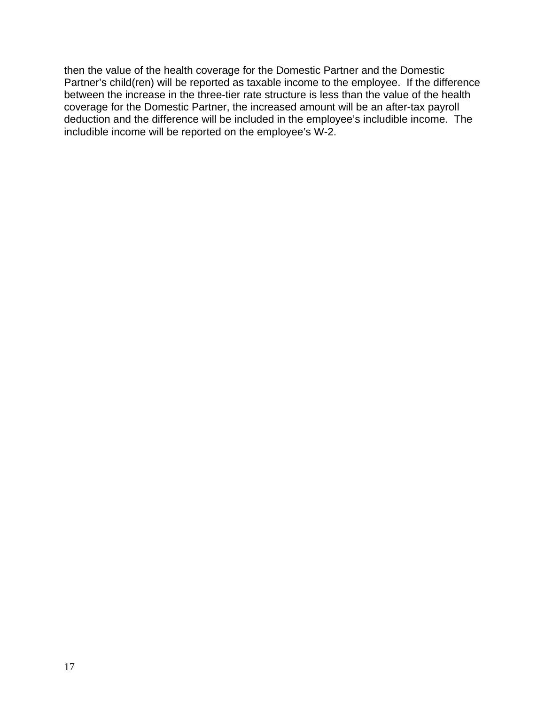then the value of the health coverage for the Domestic Partner and the Domestic Partner's child(ren) will be reported as taxable income to the employee. If the difference between the increase in the three-tier rate structure is less than the value of the health coverage for the Domestic Partner, the increased amount will be an after-tax payroll deduction and the difference will be included in the employee's includible income. The includible income will be reported on the employee's W-2.